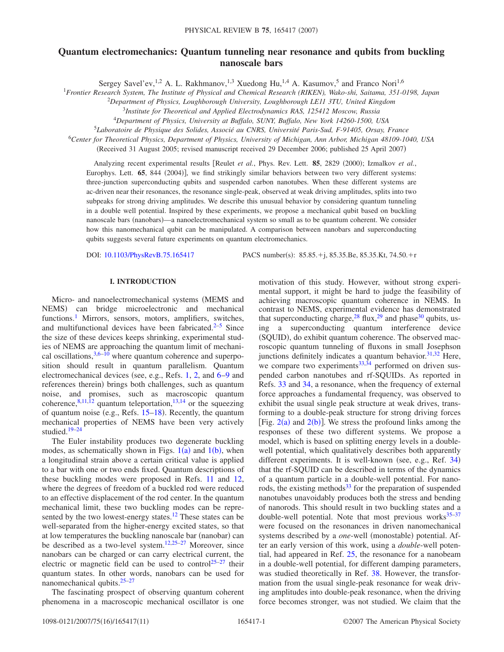# **Quantum electromechanics: Quantum tunneling near resonance and qubits from buckling nanoscale bars**

Sergey Savel'ev, <sup>1,2</sup> A. L. Rakhmanov, <sup>1,3</sup> Xuedong Hu, <sup>1,4</sup> A. Kasumov, <sup>5</sup> and Franco Nori<sup>1,6</sup>

<sup>1</sup>*Frontier Research System, The Institute of Physical and Chemical Research (RIKEN), Wako-shi, Saitama, 351-0198, Japan*

2 *Department of Physics, Loughborough University, Loughborough LE11 3TU, United Kingdom*

<sup>3</sup>*Institute for Theoretical and Applied Electrodynamics RAS, 125412 Moscow, Russia*

<sup>4</sup>*Department of Physics, University at Buffalo, SUNY, Buffalo, New York 14260-1500, USA*

<sup>5</sup>*Laboratoire de Physique des Solides, Associé au CNRS, Université Paris-Sud, F-91405, Orsay, France*

<sup>6</sup>*Center for Theoretical Physics, Department of Physics, University of Michigan, Ann Arbor, Michigan 48109-1040, USA*

(Received 31 August 2005; revised manuscript received 29 December 2006; published 25 April 2007)

Analyzing recent experimental results [Reulet et al., Phys. Rev. Lett. 85, 2829 (2000); Izmalkov et al., Europhys. Lett. 65, 844 (2004)], we find strikingly similar behaviors between two very different systems: three-junction superconducting qubits and suspended carbon nanotubes. When these different systems are ac-driven near their resonances, the resonance single-peak, observed at weak driving amplitudes, splits into two subpeaks for strong driving amplitudes. We describe this unusual behavior by considering quantum tunneling in a double well potential. Inspired by these experiments, we propose a mechanical qubit based on buckling nanoscale bars (nanobars)—a nanoelectromechanical system so small as to be quantum coherent. We consider how this nanomechanical qubit can be manipulated. A comparison between nanobars and superconducting qubits suggests several future experiments on quantum electromechanics.

DOI: [10.1103/PhysRevB.75.165417](http://dx.doi.org/10.1103/PhysRevB.75.165417)

PACS number(s): 85.85.+j, 85.35.Be, 85.35.Kt, 74.50.+r

### **I. INTRODUCTION**

Micro- and nanoelectromechanical systems (MEMS and NEMS) can bridge microelectronic and mechanical functions.<sup>1</sup> Mirrors, sensors, motors, amplifiers, switches, and multifunctional devices have been fabricated. $2-5$  Since the size of these devices keeps shrinking, experimental studies of NEMS are approaching the quantum limit of mechanical oscillations,  $3,6-10$  $3,6-10$  $3,6-10$  where quantum coherence and superposition should result in quantum parallelism. Quantum electromechanical devices (see, e.g., Refs. [1,](#page-9-0) [2,](#page-9-1) and  $6-9$  $6-9$  and references therein) brings both challenges, such as quantum noise, and promises, such as macroscopic quantum coherence,  $8,11,12$  $8,11,12$  $8,11,12$  quantum teleportation,  $13,14$  $13,14$  or the squeezing of quantum noise (e.g., Refs. [15–](#page-9-12)[18](#page-9-13)). Recently, the quantum mechanical properties of NEMS have been very actively studied[.19](#page-9-14)[–24](#page-9-15)

The Euler instability produces two degenerate buckling modes, as schematically shown in Figs.  $1(a)$  $1(a)$  and  $1(b)$  $1(b)$  $1(b)$ , when a longitudinal strain above a certain critical value is applied to a bar with one or two ends fixed. Quantum descriptions of these buckling modes were proposed in Refs. [11](#page-9-8) and [12,](#page-9-9) where the degrees of freedom of a buckled rod were reduced to an effective displacement of the rod center. In the quantum mechanical limit, these two buckling modes can be represented by the two lowest-energy states.<sup>12</sup> These states can be well-separated from the higher-energy excited states, so that at low temperatures the buckling nanoscale bar (nanobar) can be described as a two-level system.<sup>12,[25](#page-9-16)-27</sup> Moreover, since nanobars can be charged or can carry electrical current, the electric or magnetic field can be used to control<sup>25[–27](#page-9-17)</sup> their quantum states. In other words, nanobars can be used for nanomechanical qubits. $25-27$  $25-27$ 

The fascinating prospect of observing quantum coherent phenomena in a macroscopic mechanical oscillator is one motivation of this study. However, without strong experimental support, it might be hard to judge the feasibility of achieving macroscopic quantum coherence in NEMS. In contrast to NEMS, experimental evidence has demonstrated that superconducting charge,  $^{28}$  flux,  $^{29}$  and phase  $^{30}$  qubits, using a superconducting quantum interference device (SQUID), do exhibit quantum coherence. The observed macroscopic quantum tunneling of fluxons in small Josephson junctions definitely indicates a quantum behavior.<sup>31[,32](#page-9-22)</sup> Here, we compare two experiments $33,34$  $33,34$  performed on driven suspended carbon nanotubes and rf-SQUIDs. As reported in Refs. [33](#page-9-16) and [34,](#page-9-23) a resonance, when the frequency of external force approaches a fundamental frequency, was observed to exhibit the usual single peak structure at weak drives, transforming to a double-peak structure for strong driving forces [Fig.  $2(a)$  $2(a)$  and  $2(b)$ ]. We stress the profound links among the responses of these two different systems. We propose a model, which is based on splitting energy levels in a doublewell potential, which qualitatively describes both apparently different experiments. It is well-known (see, e.g., Ref. [34](#page-9-23)) that the rf-SQUID can be described in terms of the dynamics of a quantum particle in a double-well potential. For nanorods, the existing methods $33$  for the preparation of suspended nanotubes unavoidably produces both the stress and bending of nanorods. This should result in two buckling states and a double-well potential. Note that most previous works $35-37$ were focused on the resonances in driven nanomechanical systems described by a one-well (monostable) potential. After an early version of this work, using a *double*-well potential, had appeared in Ref. [25,](#page-9-16) the resonance for a nanobeam in a double-well potential, for different damping parameters, was studied theoretically in Ref. [38.](#page-9-26) However, the transformation from the usual single-peak resonance for weak driving amplitudes into double-peak resonance, when the driving force becomes stronger, was not studied. We claim that the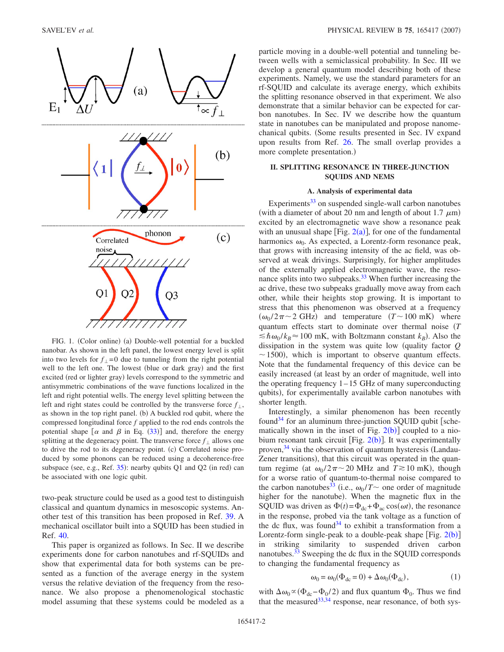<span id="page-1-0"></span>

FIG. 1. (Color online) (a) Double-well potential for a buckled nanobar. As shown in the left panel, the lowest energy level is split into two levels for  $f_1 = 0$  due to tunneling from the right potential well to the left one. The lowest (blue or dark gray) and the first excited (red or lighter gray) levels correspond to the symmetric and antisymmetric combinations of the wave functions localized in the left and right potential wells. The energy level splitting between the left and right states could be controlled by the transverse force  $f_{\perp}$ , as shown in the top right panel. (b) A buckled rod qubit, where the compressed longitudinal force *f* applied to the rod ends controls the potential shape  $\left[\alpha \right]$  and  $\beta$  in Eq. ([33](#page-6-0))] and, therefore the energy splitting at the degeneracy point. The transverse force  $f_{\perp}$  allows one to drive the rod to its degeneracy point. (c) Correlated noise produced by some phonons can be reduced using a decoherence-free subspace (see, e.g., Ref. [35](#page-9-24)): nearby qubits Q1 and Q2 (in red) can be associated with one logic qubit.

two-peak structure could be used as a good test to distinguish classical and quantum dynamics in mesoscopic systems. Another test of this transition has been proposed in Ref. [39.](#page-9-27) A mechanical oscillator built into a SQUID has been studied in Ref. [40.](#page-9-28)

This paper is organized as follows. In Sec. II we describe experiments done for carbon nanotubes and rf-SQUIDs and show that experimental data for both systems can be presented as a function of the average energy in the system versus the relative deviation of the frequency from the resonance. We also propose a phenomenological stochastic model assuming that these systems could be modeled as a particle moving in a double-well potential and tunneling between wells with a semiclassical probability. In Sec. III we develop a general quantum model describing both of these experiments. Namely, we use the standard parameters for an rf-SQUID and calculate its average energy, which exhibits the splitting resonance observed in that experiment. We also demonstrate that a similar behavior can be expected for carbon nanotubes. In Sec. IV we describe how the quantum state in nanotubes can be manipulated and propose nanomechanical qubits. (Some results presented in Sec. IV expand upon results from Ref. [26.](#page-9-29) The small overlap provides a more complete presentation.)

# **II. SPLITTING RESONANCE IN THREE-JUNCTION SQUIDS AND NEMS**

# **A. Analysis of experimental data**

Experiments $33$  on suspended single-wall carbon nanotubes (with a diameter of about 20 nm and length of about 1.7  $\mu$ m) excited by an electromagnetic wave show a resonance peak with an unusual shape [Fig.  $2(a)$  $2(a)$ ], for one of the fundamental harmonics  $\omega_0$ . As expected, a Lorentz-form resonance peak, that grows with increasing intensity of the ac field, was observed at weak drivings. Surprisingly, for higher amplitudes of the externally applied electromagnetic wave, the resonance splits into two subpeaks. $33$  When further increasing the ac drive, these two subpeaks gradually move away from each other, while their heights stop growing. It is important to stress that this phenomenon was observed at a frequency  $(\omega_0 / 2\pi \sim 2 \text{ GHz})$  and temperature  $(T \sim 100 \text{ mK})$  where quantum effects start to dominate over thermal noise *T*  $\leq \hbar \omega_0 / k_B \approx 100 \text{ mK}$ , with Boltzmann constant  $k_B$ ). Also the dissipation in the system was quite low quality factor *Q*  $\sim$  1500), which is important to observe quantum effects. Note that the fundamental frequency of this device can be easily increased (at least by an order of magnitude, well into the operating frequency  $1-15$  GHz of many superconducting qubits), for experimentally available carbon nanotubes with shorter length.

Interestingly, a similar phenomenon has been recently found<sup>34</sup> for an aluminum three-junction SQUID qubit [schematically shown in the inset of Fig.  $2(b)$  $2(b)$ ] coupled to a niobium resonant tank circuit [Fig.  $2(b)$  $2(b)$ ]. It was experimentally proven,  $34$  via the observation of quantum hysteresis (Landau-Zener transitions), that this circuit was operated in the quantum regime (at  $\omega_0 / 2\pi \sim 20$  MHz and  $T \gtrsim 10$  mK), though for a worse ratio of quantum-to-thermal noise compared to the carbon nanotubes<sup>33</sup> (i.e.,  $\omega_0/T \sim$  one order of magnitude higher for the nanotube). When the magnetic flux in the SQUID was driven as  $\Phi(t) = \Phi_{\text{dc}} + \Phi_{\text{ac}} \cos(\omega t)$ , the resonance in the response, probed via the tank voltage as a function of the dc flux, was found<sup>34</sup> to exhibit a transformation from a Lorentz-form single-peak to a double-peak shape  $[Fig. 2(b)]$  $[Fig. 2(b)]$  $[Fig. 2(b)]$ in striking similarity to suspended driven carbon nanotubes.<sup>33</sup> Sweeping the dc flux in the SOUID corresponds to changing the fundamental frequency as

$$
\omega_0 = \omega_0(\Phi_{dc} = 0) + \Delta \omega_0(\Phi_{dc}), \qquad (1)
$$

with  $\Delta \omega_0 \propto (\Phi_{\text{dc}} - \Phi_0 / 2)$  and flux quantum  $\Phi_0$ . Thus we find that the measured  $33,34$  $33,34$  response, near resonance, of both sys-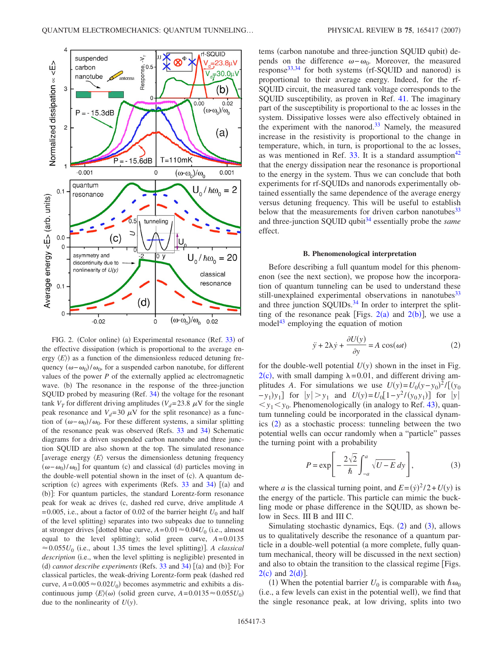<span id="page-2-0"></span>

FIG. 2. (Color online) (a) Experimental resonance (Ref. [33](#page-9-16)) of the effective dissipation (which is proportional to the average energy  $\langle E \rangle$ ) as a function of the dimensionless reduced detuning frequency  $(\omega - \omega_0)/\omega_0$ , for a suspended carbon nanotube, for different values of the power  $P$  of the externally applied ac electromagnetic wave. (b) The resonance in the response of the three-junction SQUID probed by measuring (Ref. [34](#page-9-23)) the voltage for the resonant tank  $V_T$  for different driving amplitudes ( $V_d$ =23.8  $\mu$ V for the single peak resonance and  $V_d$ =30  $\mu$ V for the split resonance) as a function of  $(\omega - \omega_0)/\omega_0$ . For these different systems, a similar splitting of the resonance peak was observed (Refs. [33](#page-9-16) and [34](#page-9-23)) Schematic diagrams for a driven suspended carbon nanotube and three junction SQUID are also shown at the top. The simulated resonance [average energy  $\langle E \rangle$  versus the dimensionless detuning frequency  $(\omega - \omega_0)/\omega_0$ ] for quantum (c) and classical (d) particles moving in the double-well potential shown in the inset of (c). A quantum description (c) agrees with experiments (Refs.  $33$  and  $34$ ) [(a) and (b)]: For quantum particles, the standard Lorentz-form resonance peak for weak ac drives (c, dashed red curve, drive amplitude A =0.005, i.e., about a factor of 0.02 of the barrier height  $U_0$  and half of the level splitting) separates into two subpeaks due to tunneling at stronger drives dotted blue curve,  $A = 0.01 \approx 0.04 U_0$  (i.e., almost equal to the level splitting); solid green curve,  $A=0.0135$  $\approx 0.055U_0$  (i.e., about 1.35 times the level splitting)]. A classical description (i.e., when the level splitting is negligible) presented in (d) *cannot describe experiments* (Refs.  $33$  and  $34$ ) [(a) and (b)]: For classical particles, the weak-driving Lorentz-form peak dashed red curve,  $A = 0.005 \approx 0.02U_0$ ) becomes asymmetric and exhibits a discontinuous jump  $\langle E \rangle$ ( $\omega$ ) (solid green curve,  $A = 0.0135 \approx 0.055 U_0$ ) due to the nonlinearity of  $U(y)$ .

tems (carbon nanotube and three-junction SQUID qubit) depends on the difference  $\omega - \omega_0$ . Moreover, the measured response<sup>33[,34](#page-9-23)</sup> for both systems (rf-SQUID and nanorod) is proportional to their average energy. Indeed, for the rf-SQUID circuit, the measured tank voltage corresponds to the SQUID susceptibility, as proven in Ref. [41.](#page-9-30) The imaginary part of the susceptibility is proportional to the ac losses in the system. Dissipative losses were also effectively obtained in the experiment with the nanorod.<sup>33</sup> Namely, the measured increase in the resistivity is proportional to the change in temperature, which, in turn, is proportional to the ac losses, as was mentioned in Ref.  $33$ . It is a standard assumption<sup>42</sup> that the energy dissipation near the resonance is proportional to the energy in the system. Thus we can conclude that both experiments for rf-SQUIDs and nanorods experimentally obtained essentially the same dependence of the average energy versus detuning frequency. This will be useful to establish below that the measurements for driven carbon nanotubes<sup>33</sup> and three-junction SQUID qubit<sup>34</sup> essentially probe the *same* effect.

#### **B. Phenomenological interpretation**

Before describing a full quantum model for this phenomenon (see the next section), we propose how the incorporation of quantum tunneling can be used to understand these still-unexplained experimental observations in nanotubes<sup>33</sup> and three junction SQUIDs.<sup>34</sup> In order to interpret the splitting of the resonance peak [Figs.  $2(a)$  $2(a)$  and  $2(b)$ ], we use a model<sup>43</sup> employing the equation of motion

$$
\ddot{y} + 2\lambda \dot{y} + \frac{\partial U(y)}{\partial y} = A \cos(\omega t)
$$
 (2)

<span id="page-2-1"></span>for the double-well potential  $U(y)$  shown in the inset in Fig.  $2(c)$  $2(c)$ , with small damping  $\lambda = 0.01$ , and different driving amplitudes *A*. For simulations we use  $U(y) = U_0(y - y_0)^2 / [(y_0 + y_0)^2]$  $-y_1$ ) $y_1$ ] for  $|y| > y_1$  and  $U(y) = U_0[1 - y^2 / (y_0 y_1)]$  for  $|y|$  $y_1 < y_0$ . Phenomenologically (in analogy to Ref. [43](#page-9-32)), quantum tunneling could be incorporated in the classical dynam-ics ([2](#page-2-1)) as a stochastic process: tunneling between the two potential wells can occur randomly when a "particle" passes the turning point with a probability

$$
P = \exp\left[-\frac{2\sqrt{2}}{\hbar} \int_{-a}^{a} \sqrt{U - E} \, dy\right],\tag{3}
$$

<span id="page-2-2"></span>where *a* is the classical turning point, and  $E = (y)^2 / 2 + U(y)$  is the energy of the particle. This particle can mimic the buckling mode or phase difference in the SQUID, as shown below in Secs. III B and III C.

Simulating stochastic dynamics, Eqs.  $(2)$  $(2)$  $(2)$  and  $(3)$  $(3)$  $(3)$ , allows us to qualitatively describe the resonance of a quantum particle in a double-well potential (a more complete, fully quantum mechanical, theory will be discussed in the next section) and also to obtain the transition to the classical regime Figs.  $2(c)$  $2(c)$  and  $2(d)$ ].

(1) When the potential barrier  $U_0$  is comparable with  $\hbar \omega_0$ (i.e., a few levels can exist in the potential well), we find that the single resonance peak, at low driving, splits into two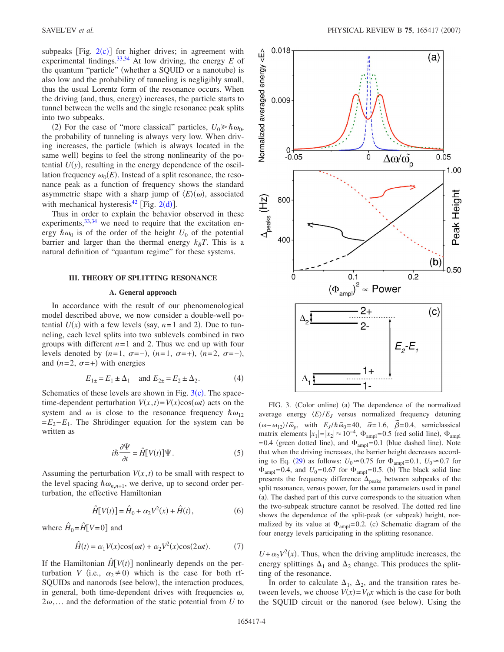subpeaks  $[Fig. 2(c)]$  $[Fig. 2(c)]$  $[Fig. 2(c)]$  for higher drives; in agreement with experimental findings[.33,](#page-9-16)[34](#page-9-23) At low driving, the energy *E* of the quantum "particle" (whether a SQUID or a nanotube) is also low and the probability of tunneling is negligibly small, thus the usual Lorentz form of the resonance occurs. When the driving (and, thus, energy) increases, the particle starts to tunnel between the wells and the single resonance peak splits into two subpeaks.

(2) For the case of "more classical" particles,  $U_0 \ge \hbar \omega_0$ , the probability of tunneling is always very low. When driving increases, the particle which is always located in the same well) begins to feel the strong nonlinearity of the potential  $U(y)$ , resulting in the energy dependence of the oscillation frequency  $\omega_0(E)$ . Instead of a split resonance, the resonance peak as a function of frequency shows the standard asymmetric shape with a sharp jump of  $\langle E \rangle$ ( $\omega$ ), associated with mechanical hysteresis<sup>4[2](#page-2-0)</sup> [Fig. 2(d)].

Thus in order to explain the behavior observed in these experiments,  $33,34$  $33,34$  we need to require that the excitation energy  $\hbar \omega_0$  is of the order of the height  $U_0$  of the potential barrier and larger than the thermal energy  $k_B T$ . This is a natural definition of "quantum regime" for these systems.

#### **III. THEORY OF SPLITTING RESONANCE**

### **A. General approach**

In accordance with the result of our phenomenological model described above, we now consider a double-well potential  $U(x)$  with a few levels (say,  $n=1$  and 2). Due to tunneling, each level splits into two sublevels combined in two groups with different  $n=1$  and 2. Thus we end up with four levels denoted by  $(n=1, \sigma=-)$ ,  $(n=1, \sigma=+)$ ,  $(n=2, \sigma=-)$ , and  $(n=2, \sigma=+)$  with energies

$$
E_{1\pm} = E_1 \pm \Delta_1
$$
 and  $E_{2\pm} = E_2 \pm \Delta_2$ . (4)

Schematics of these levels are shown in Fig.  $3(c)$  $3(c)$ . The spacetime-dependent perturbation  $V(x, t) = V(x)\cos(\omega t)$  acts on the system and  $\omega$  is close to the resonance frequency  $\hbar \omega_{12}$ =*E*2−*E*1. The Shrödinger equation for the system can be written as

$$
i\hbar \frac{\partial \Psi}{\partial t} = \hat{H} \big[ V(t) \big] \Psi.
$$
 (5)

Assuming the perturbation  $V(x, t)$  to be small with respect to the level spacing  $\hbar \omega_{n,n+1}$ , we derive, up to second order perturbation, the effective Hamiltonian

$$
\hat{H}[V(t)] = \hat{H}_0 + \alpha_2 V^2(x) + \hat{H}(t),
$$
\n(6)

<span id="page-3-1"></span>where  $\hat{H}_0 = \hat{H} [V=0]$  and

$$
\hat{H}(t) = \alpha_1 V(x)\cos(\omega t) + \alpha_2 V^2(x)\cos(2\omega t). \tag{7}
$$

If the Hamiltonian  $\hat{H}[V(t)]$  nonlinearly depends on the perturbation *V* (i.e.,  $\alpha_2 \neq 0$ ) which is the case for both rf-SQUIDs and nanorods (see below), the interaction produces, in general, both time-dependent drives with frequencies  $\omega$ ,  $2\omega$ ,... and the deformation of the static potential from *U* to

<span id="page-3-0"></span>

FIG. 3. (Color online) (a) The dependence of the normalized average energy  $\langle E \rangle / E_J$  versus normalized frequency detuning  $(\omega - \omega_{12})/\tilde{\omega}_p$ , with  $E_J/\hbar \tilde{\omega}_0 = 40$ ,  $\tilde{\alpha} = 1.6$ ,  $\tilde{\beta} = 0.4$ , semiclassical matrix elements  $|x_1|=|x_2| \approx 10^{-4}$ ,  $\Phi_{\text{ampl}}=0.5$  (red solid line),  $\Phi_{\text{ampl}}$ =0.4 (green dotted line), and  $\Phi_{\text{ampl}}$ =0.1 (blue dashed line). Note that when the driving increases, the barrier height decreases accord-ing to Eq. ([29](#page-5-0)) as follows:  $U_0 \approx 0.75$  for  $\Phi_{\text{ampl}} = 0.1$ ,  $U_0 \approx 0.7$  for  $\Phi_{\text{ampl}} = 0.4$ , and  $U_0 = 0.67$  for  $\Phi_{\text{ampl}} = 0.5$ . (b) The black solid line presents the frequency difference  $\Delta_{\text{peaks}}$  between subpeaks of the split resonance, versus power, for the same parameters used in panel (a). The dashed part of this curve corresponds to the situation when the two-subpeak structure cannot be resolved. The dotted red line shows the dependence of the split-peak (or subpeak) height, normalized by its value at  $\Phi_{\text{ampl}}=0.2$ . (c) Schematic diagram of the four energy levels participating in the splitting resonance.

 $U + \alpha_2 V^2(x)$ . Thus, when the driving amplitude increases, the energy splittings  $\Delta_1$  and  $\Delta_2$  change. This produces the splitting of the resonance.

In order to calculate  $\Delta_1$ ,  $\Delta_2$ , and the transition rates between levels, we choose  $V(x) = V_0 x$  which is the case for both the SQUID circuit or the nanorod (see below). Using the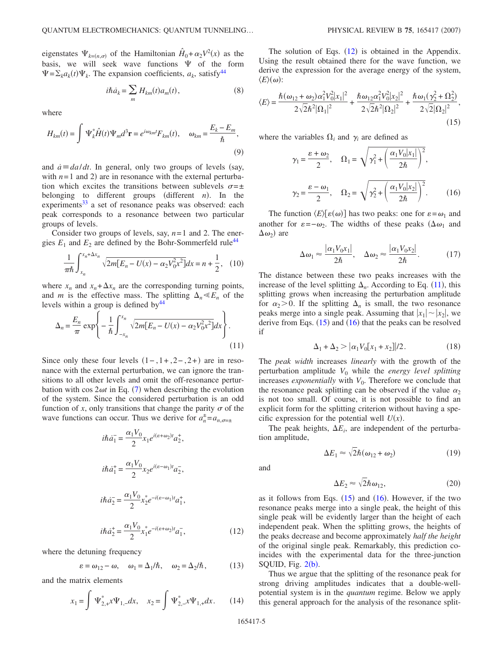eigenstates  $\Psi_{k=(n,\sigma)}$  of the Hamiltonian  $\hat{H}_0 + \alpha_2 V^2(x)$  as the basis, we will seek wave functions  $\Psi$  of the form  $\Psi = \sum_{k} a_k(t) \Psi_k$ . The expansion coefficients,  $a_k$ , satisfy<sup>44</sup>

$$
i\hbar \dot{a}_k = \sum_m H_{km}(t)a_m(t), \qquad (8)
$$

<span id="page-4-1"></span>where

$$
H_{km}(t) = \int \Psi_k^* \hat{H}(t) \Psi_m d^3 \mathbf{r} = e^{i\omega_{km}t} F_{km}(t), \quad \omega_{km} = \frac{E_k - E_m}{\hbar},
$$
\n(9)

and  $\dot{a} \equiv da/dt$ . In general, only two groups of levels (say, with  $n=1$  and 2) are in resonance with the external perturbation which excites the transitions between sublevels  $\sigma = \pm$ belonging to different groups (different  $n$ ). In the experiments<sup>33</sup> a set of resonance peaks was observed: each peak corresponds to a resonance between two particular groups of levels.

<span id="page-4-4"></span>Consider two groups of levels, say, *n*=1 and 2. The energies  $E_1$  and  $E_2$  are defined by the Bohr-Sommerfeld rule<sup>44</sup>

$$
\frac{1}{\pi\hbar} \int_{x_n}^{x_n + \Delta x_n} \sqrt{2m[E_n - U(x) - \alpha_2 V_0^2 x^2]} dx = n + \frac{1}{2}, \quad (10)
$$

where  $x_n$  and  $x_n + \Delta x_n$  are the corresponding turning points, and *m* is the effective mass. The splitting  $\Delta_n \ll E_n$  of the levels within a group is defined by $44$ 

$$
\Delta_n = \frac{E_n}{\pi} \exp\left\{-\frac{1}{\hbar} \int_{-x_n}^{x_n} \sqrt{2m[E_n - U(x) - \alpha_2 V_0^2 x^2]} dx\right\}.
$$
\n(11)

Since only these four levels  $(1-, 1+, 2-, 2+)$  are in resonance with the external perturbation, we can ignore the transitions to all other levels and omit the off-resonance perturbation with cos  $2\omega t$  in Eq. ([7](#page-3-1)) when describing the evolution of the system. Since the considered perturbation is an odd function of *x*, only transitions that change the parity  $\sigma$  of the wave functions can occur. Thus we derive for  $a_n^{\pm} = a_{n,\sigma=\pm}$ 

<span id="page-4-0"></span>
$$
i\hbar \dot{a}_1 = \frac{\alpha_1 V_0}{2} x_1 e^{i(\varepsilon + \omega_2)t} a_2^+,
$$
  
\n
$$
i\hbar \dot{a}_1^+ = \frac{\alpha_1 V_0}{2} x_2 e^{i(\varepsilon - \omega_1)t} a_2^-,
$$
  
\n
$$
i\hbar \dot{a}_2^- = \frac{\alpha_1 V_0}{2} x_2^* e^{-i(\varepsilon - \omega_1)t} a_1^+,
$$

$$
i\hbar \dot{a}_2^+ = \frac{\alpha_1 V_0}{2} x_1^* e^{-i(\varepsilon + \omega_2)t} a_1^-, \tag{12}
$$

where the detuning frequency

$$
\varepsilon = \omega_{12} - \omega, \quad \omega_1 = \Delta_1/\hbar, \quad \omega_2 = \Delta_2/\hbar, \quad (13)
$$

<span id="page-4-5"></span>and the matrix elements

$$
x_1 = \int \Psi_{2,+}^* x \Psi_{1,-} dx, \quad x_2 = \int \Psi_{2,-}^* x \Psi_{1,+} dx. \quad (14)
$$

The solution of Eqs.  $(12)$  $(12)$  $(12)$  is obtained in the Appendix. Using the result obtained there for the wave function, we derive the expression for the average energy of the system,  $\langle E \rangle$ (*ω*):

<span id="page-4-2"></span>
$$
\langle E \rangle = \frac{\hbar(\omega_{12} + \omega_2)\alpha_1^2 V_0^2 |x_1|^2}{2\sqrt{2}\hbar^2 |\Omega_1|^2} + \frac{\hbar \omega_{12} \alpha_1^2 V_0^2 |x_2|^2}{2\sqrt{2}\hbar^2 |\Omega_2|^2} + \frac{\hbar \omega_1(\gamma_2^2 + \Omega_2^2)}{2\sqrt{2} |\Omega_2|^2},\tag{15}
$$

<span id="page-4-3"></span>where the variables  $\Omega_i$  and  $\gamma_i$  are defined as

$$
\gamma_1 = \frac{\varepsilon + \omega_2}{2}, \quad \Omega_1 = \sqrt{\gamma_1^2 + \left(\frac{\alpha_1 V_0 |x_1|}{2\hbar}\right)^2},
$$

$$
\gamma_2 = \frac{\varepsilon - \omega_1}{2}, \quad \Omega_2 = \sqrt{\gamma_2^2 + \left(\frac{\alpha_1 V_0 |x_2|}{2\hbar}\right)^2}.
$$
(16)

The function  $\langle E \rangle [\varepsilon(\omega)]$  has two peaks: one for  $\varepsilon = \omega_1$  and another for  $\varepsilon = -\omega_2$ . The widths of these peaks  $(\Delta \omega_1$  and  $(\Delta \omega_2)$  are

$$
\Delta \omega_1 \approx \frac{|\alpha_1 V_0 x_1|}{2\hbar}, \quad \Delta \omega_2 \approx \frac{|\alpha_1 V_0 x_2|}{2\hbar}.
$$
 (17)

The distance between these two peaks increases with the increase of the level splitting  $\Delta_n$ . According to Eq. ([11](#page-4-1)), this splitting grows when increasing the perturbation amplitude for  $\alpha_2 > 0$ . If the splitting  $\Delta_n$  is small, the two resonance peaks merge into a single peak. Assuming that  $|x_1| \sim |x_2|$ , we derive from Eqs.  $(15)$  $(15)$  $(15)$  and  $(16)$  $(16)$  $(16)$  that the peaks can be resolved if

$$
\Delta_1 + \Delta_2 > |\alpha_1 V_0[x_1 + x_2]|/2.
$$
 (18)

The *peak width* increases *linearly* with the growth of the perturbation amplitude *V*<sup>0</sup> while the *energy level splitting* increases *exponentially* with  $V_0$ . Therefore we conclude that the resonance peak splitting can be observed if the value  $\alpha_2$ is not too small. Of course, it is not possible to find an explicit form for the splitting criterion without having a specific expression for the potential well  $U(x)$ .

The peak heights,  $\Delta E_i$ , are independent of the perturbation amplitude,

$$
\Delta E_1 \approx \sqrt{2}\hbar(\omega_{12} + \omega_2) \tag{19}
$$

and

$$
\Delta E_2 \approx \sqrt{2}\hbar \,\omega_{12},\tag{20}
$$

as it follows from Eqs.  $(15)$  $(15)$  $(15)$  and  $(16)$  $(16)$  $(16)$ . However, if the two resonance peaks merge into a single peak, the height of this single peak will be evidently larger than the height of each independent peak. When the splitting grows, the heights of the peaks decrease and become approximately *half the height* of the original single peak. Remarkably, this prediction coincides with the experimental data for the three-junction SQUID, Fig.  $2(b)$  $2(b)$ .

Thus we argue that the splitting of the resonance peak for strong driving amplitudes indicates that a double-wellpotential system is in the *quantum* regime. Below we apply this general approach for the analysis of the resonance split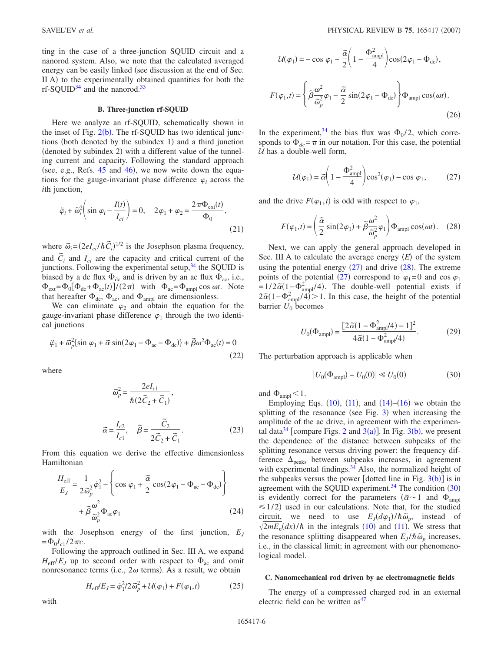ting in the case of a three-junction SQUID circuit and a nanorod system. Also, we note that the calculated averaged energy can be easily linked (see discussion at the end of Sec. II A) to the experimentally obtained quantities for both the rf-SQUID<sup>34</sup> and the nanorod.<sup>33</sup>

### **B. Three-junction rf-SQUID**

Here we analyze an rf-SQUID, schematically shown in the inset of Fig.  $2(b)$  $2(b)$ . The rf-SQUID has two identical junctions (both denoted by the subindex 1) and a third junction (denoted by subindex 2) with a different value of the tunneling current and capacity. Following the standard approach (see, e.g., Refs.  $45$  and  $46$ ), we now write down the equations for the gauge-invariant phase difference  $\varphi_i$  across the *i*th junction,

$$
\ddot{\varphi}_i + \tilde{\omega}_i^2 \left( \sin \varphi_i - \frac{I(t)}{I_{ci}} \right) = 0, \quad 2\varphi_1 + \varphi_2 = \frac{2\pi \Phi_{ext}(t)}{\Phi_0},
$$
\n(21)

where  $\tilde{\omega}_i = (2eI_{ci}/\hbar \tilde{C}_i)^{1/2}$  is the Josephson plasma frequency, and  $\tilde{C}_i$  and  $I_{ci}$  are the capacity and critical current of the junctions. Following the experimental setup,  $34$  the SQUID is biased by a dc flux  $\Phi_{dc}$  and is driven by an ac flux  $\Phi_{ac}$ , i.e.,  $\Phi_{ext} = \Phi_0 [\Phi_{dc} + \Phi_{ac}(t)] / (2\pi)$  with  $\Phi_{ac} = \Phi_{ampl} \cos \omega t$ . Note that hereafter  $\Phi_{\text{dc}}$ ,  $\Phi_{\text{ac}}$ , and  $\Phi_{\text{ampl}}$  are dimensionless.

We can eliminate  $\varphi_2$  and obtain the equation for the gauge-invariant phase difference  $\varphi_1$  through the two identical junctions

$$
\ddot{\varphi}_1 + \tilde{\omega}_p^2 \{ \sin \varphi_1 + \tilde{\alpha} \sin(2\varphi_1 - \Phi_{ac} - \Phi_{dc}) \} + \tilde{\beta}\omega^2 \Phi_{ac}(t) = 0
$$
\n(22)

where

$$
\tilde{\omega}_p^2 = \frac{2el_{c1}}{\hbar(2\tilde{C}_2 + \tilde{C}_1)},
$$
  

$$
\tilde{\alpha} = \frac{I_{c2}}{I_{c1}}, \quad \tilde{\beta} = \frac{\tilde{C}_2}{2\tilde{C}_2 + \tilde{C}_1}.
$$
 (23)

From this equation we derive the effective dimensionless Hamiltonian

$$
\frac{H_{\text{eff}}}{E_J} = \frac{1}{2\tilde{\omega}_p^2} \dot{\varphi}_1^2 - \left\{ \cos \varphi_1 + \frac{\tilde{\alpha}}{2} \cos(2\varphi_1 - \Phi_{ac} - \Phi_{dc}) \right\} \n+ \tilde{\beta} \frac{\omega^2}{\tilde{\omega}_p^2} \Phi_{ac} \varphi_1
$$
\n(24)

with the Josephson energy of the first junction, *EJ*  $=\Phi_0 I_{c1} / 2 \pi c$ .

Following the approach outlined in Sec. III A, we expand  $H_{\text{eff}}/E_J$  up to second order with respect to  $\Phi_{ac}$  and omit nonresonance terms (i.e.,  $2\omega$  terms). As a result, we obtain

$$
H_{\text{eff}}/E_J = \dot{\varphi}_1^2/2\,\tilde{\omega}_p^2 + \mathcal{U}(\varphi_1) + F(\varphi_1, t) \tag{25}
$$

$$
U(\varphi_1) = -\cos \varphi_1 - \frac{\tilde{\alpha}}{2} \left( 1 - \frac{\Phi_{\text{ampl}}^2}{4} \right) \cos(2\varphi_1 - \Phi_{\text{dc}}),
$$

$$
F(\varphi_1, t) = \left\{ \tilde{\beta} \frac{\omega^2}{\tilde{\omega}_p^2} \varphi_1 - \frac{\tilde{\alpha}}{2} \sin(2\varphi_1 - \Phi_{\text{dc}}) \right\} \Phi_{\text{ampl}} \cos(\omega t).
$$
(26)

<span id="page-5-1"></span>In the experiment,<sup>34</sup> the bias flux was  $\Phi_0/2$ , which corresponds to  $\Phi_{dc} = \pi$  in our notation. For this case, the potential  $U$  has a double-well form,

$$
U(\varphi_1) = \tilde{\alpha} \left( 1 - \frac{\Phi_{\rm ampl}^2}{4} \right) \cos^2(\varphi_1) - \cos \varphi_1, \tag{27}
$$

<span id="page-5-2"></span>and the drive  $F(\varphi_1, t)$  is odd with respect to  $\varphi_1$ ,

$$
F(\varphi_1, t) = \left(\frac{\tilde{\alpha}}{2}\sin(2\varphi_1) + \tilde{\beta}\frac{\omega^2}{\tilde{\omega}_p^2}\varphi_1\right)\Phi_{\text{ampl}}\cos(\omega t). \quad (28)
$$

Next, we can apply the general approach developed in Sec. III A to calculate the average energy  $\langle E \rangle$  of the system using the potential energy  $(27)$  $(27)$  $(27)$  and drive  $(28)$  $(28)$  $(28)$ . The extreme points of the potential ([27](#page-5-1)) correspond to  $\varphi_1=0$  and cos  $\varphi_1$  $=1/2\tilde{\alpha}(1-\Phi_{\rm ampl}^2/4)$ . The double-well potential exists if  $2\tilde{\alpha}(1-\Phi_{\text{ampl}}^2/4) > 1$ . In this case, the height of the potential barrier  $U_0$  becomes

$$
U_0(\Phi_{\rm ampl}) = \frac{[2\tilde{\alpha}(1 - \Phi_{\rm ampl}^2/4) - 1]^2}{4\tilde{\alpha}(1 - \Phi_{\rm ampl}^2/4)}.
$$
 (29)

<span id="page-5-3"></span><span id="page-5-0"></span>The perturbation approach is applicable when

$$
|U_0(\Phi_{\text{ampl}}) - U_0(0)| \ll U_0(0)
$$
 (30)

and  $\Phi_{\text{ampl}}<1$ .

Employing Eqs.  $(10)$  $(10)$  $(10)$ ,  $(11)$  $(11)$  $(11)$ , and  $(14)$  $(14)$  $(14)$ – $(16)$  $(16)$  $(16)$  we obtain the splitting of the resonance (see Fig.  $3$ ) when increasing the amplitude of the ac drive, in agreement with the experimen-tal data<sup>34</sup> [compare Figs. [2](#page-2-0) and  $3(a)$  $3(a)$ ]. In Fig.  $3(b)$ , we present the dependence of the distance between subpeaks of the splitting resonance versus driving power: the frequency difference  $\Delta_{\text{neaks}}$  between subpeaks increases, in agreement with experimental findings. $34$  Also, the normalized height of the subpeaks versus the power [dotted line in Fig.  $3(b)$  $3(b)$ ] is in agreement with the SQUID experiment.<sup>34</sup> The condition  $(30)$  $(30)$  $(30)$ is evidently correct for the parameters  $(\tilde{\alpha} \sim 1$  and  $\Phi_{\text{amp}}$  $\leq$  1/2) used in our calculations. Note that, for the studied circuit, we need to use  $E_J(d\varphi_1)/\hbar\tilde{\omega}_p$ , instead of  $\sqrt{2mE_n}(dx)/\hbar$  in the integrals ([10](#page-4-4)) and ([11](#page-4-1)). We stress that the resonance splitting disappeared when  $E_J / \hbar \tilde{\omega}_p$  increases, i.e., in the classical limit; in agreement with our phenomenological model.

#### **C. Nanomechanical rod driven by ac electromagnetic fields**

The energy of a compressed charged rod in an external electric field can be written  $as<sup>47</sup>$ 

with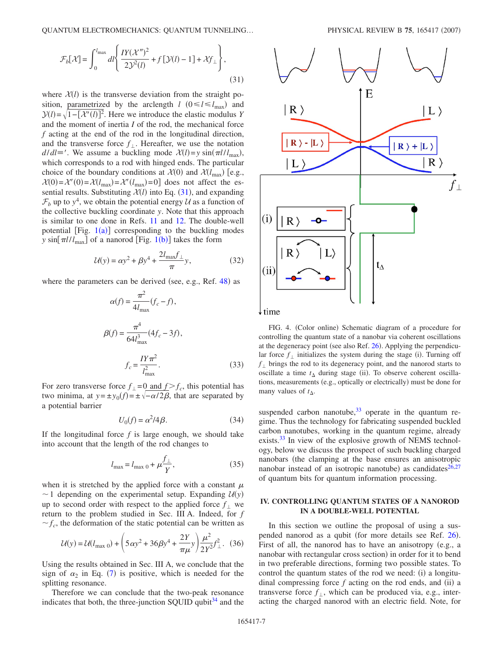<span id="page-6-1"></span>QUANTUM ELECTROMECHANICS: QUANTUM TUNNELING...

$$
\mathcal{F}_b[\mathcal{X}] = \int_0^{l_{\text{max}}} dl \left\{ \frac{IY(\mathcal{X}'')^2}{2\mathcal{Y}^2(l)} + f[\mathcal{Y}(l) - 1] + \mathcal{X}f_\perp \right\},\tag{31}
$$

where  $X(l)$  is the transverse deviation from the straight position, parametrized by the arclength  $l$  ( $0 \le l \le l_{\text{max}}$ ) and  $\mathcal{Y}(l) = \sqrt{1 - [\mathcal{X}'(l)]^2}$ . Here we introduce the elastic modulus *Y* and the moment of inertia *I* of the rod, the mechanical force *f* acting at the end of the rod in the longitudinal direction, and the transverse force  $f_{\perp}$ . Hereafter, we use the notation  $d/dl \equiv '$ . We assume a buckling mode  $\mathcal{X}(l) = y \sin(\pi l / l_{\text{max}})$ , which corresponds to a rod with hinged ends. The particular choice of the boundary conditions at  $\mathcal{X}(0)$  and  $\mathcal{X}(l_{\text{max}})$  [e.g.,  $\mathcal{X}(0) = \mathcal{X}'(0) = \mathcal{X}(l_{\text{max}}) = \mathcal{X}'(l_{\text{max}}) = 0$  does not affect the essential results. Substituting  $\mathcal{X}(l)$  into Eq. ([31](#page-6-1)), and expanding  $\mathcal{F}_b$  up to  $y^4$ , we obtain the potential energy  $\mathcal U$  as a function of the collective buckling coordinate *y*. Note that this approach is similar to one done in Refs. [11](#page-9-8) and [12.](#page-9-9) The double-well potential [Fig.  $1(a)$  $1(a)$ ] corresponding to the buckling modes *y* sin[ $\pi l / l_{\text{max}}$ ] of a nanorod [Fig. [1](#page-1-0)(b)] takes the form

$$
U(y) = \alpha y^2 + \beta y^4 + \frac{2l_{\text{max}}f_\perp}{\pi} y,\tag{32}
$$

<span id="page-6-0"></span>where the parameters can be derived (see, e.g., Ref. [48](#page-10-3)) as

$$
\alpha(f) = \frac{\pi^2}{4l_{\text{max}}} (f_c - f),
$$
  

$$
\beta(f) = \frac{\pi^4}{64l_{\text{max}}^3} (4f_c - 3f),
$$
  

$$
f_c = \frac{IY\pi^2}{l_{\text{max}}^2}.
$$
 (33)

For zero transverse force  $f_{\perp} = 0$  and  $f_{\parallel} > f_c$ , this potential has two minima, at  $y = \pm y_0(f) = \pm \sqrt{-\alpha/2\beta}$ , that are separated by a potential barrier

$$
U_0(f) = \alpha^2/4\beta.
$$
 (34)

If the longitudinal force  $f$  is large enough, we should take into account that the length of the rod changes to

$$
l_{\max} = l_{\max 0} + \mu \frac{f_{\perp}}{Y},
$$
 (35)

when it is stretched by the applied force with a constant  $\mu$  $\sim$  1 depending on the experimental setup. Expanding  $U(y)$ up to second order with respect to the applied force  $f_{\perp}$  we return to the problem studied in Sec. III A. Indeed, for *f*  $f_c$ , the deformation of the static potential can be written as

$$
U(y) = U(l_{\text{max }0}) + \left(5\alpha y^2 + 36\beta y^4 + \frac{2Y}{\pi\mu}y\right)\frac{\mu^2}{2Y^2}f_{\perp}^2.
$$
 (36)

Using the results obtained in Sec. III A, we conclude that the sign of  $\alpha_2$  in Eq. ([7](#page-3-1)) is positive, which is needed for the splitting resonance.

Therefore we can conclude that the two-peak resonance indicates that both, the three-junction SQUID qubit  $34$  and the

<span id="page-6-2"></span>

FIG. 4. (Color online) Schematic diagram of a procedure for controlling the quantum state of a nanobar via coherent oscillations at the degeneracy point (see also Ref. [26](#page-9-29)). Applying the perpendicular force  $f_{\perp}$  initializes the system during the stage (i). Turning off  $f_{\perp}$  brings the rod to its degeneracy point, and the nanorod starts to oscillate a time  $t_{\Delta}$  during stage (ii). To observe coherent oscillations, measurements (e.g., optically or electrically) must be done for many values of  $t_\Delta$ .

suspended carbon nanotube, $33$  operate in the quantum regime. Thus the technology for fabricating suspended buckled carbon nanotubes, working in the quantum regime, already exists.<sup>33</sup> In view of the explosive growth of NEMS technology, below we discuss the prospect of such buckling charged nanobars (the clamping at the base ensures an anisotropic nanobar instead of an isotropic nanotube) as candidates<sup>26[,27](#page-9-17)</sup> of quantum bits for quantum information processing.

# **IV. CONTROLLING QUANTUM STATES OF A NANOROD IN A DOUBLE-WELL POTENTIAL**

In this section we outline the proposal of using a sus-pended nanorod as a qubit (for more details see Ref. [26](#page-9-29)). First of all, the nanorod has to have an anisotropy (e.g., a nanobar with rectangular cross section) in order for it to bend in two preferable directions, forming two possible states. To control the quantum states of the rod we need: (i) a longitudinal compressing force  $f$  acting on the rod ends, and  $(ii)$  a transverse force  $f_{\perp}$ , which can be produced via, e.g., interacting the charged nanorod with an electric field. Note, for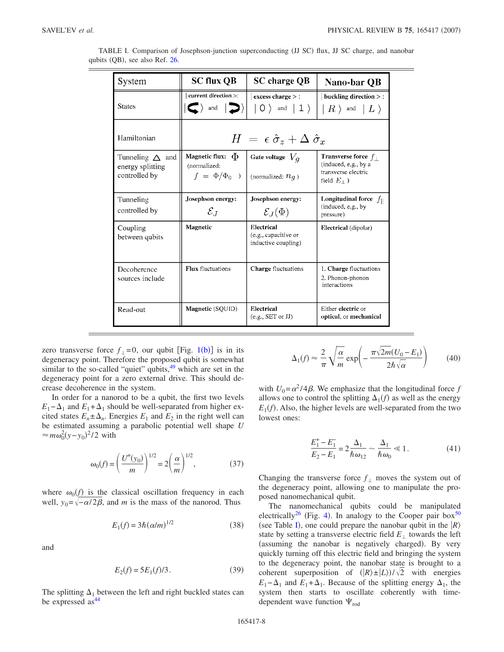| System                                                         | <b>SC flux QB</b>                                                       | <b>SC</b> charge QB                                       | Nano-bar QB                                                                                        |  |  |  |  |  |  |
|----------------------------------------------------------------|-------------------------------------------------------------------------|-----------------------------------------------------------|----------------------------------------------------------------------------------------------------|--|--|--|--|--|--|
| <b>States</b>                                                  | current direction >:<br>$\langle \langle \rangle$ and $\langle \rangle$ | excess charge > :<br>$ 0\rangle$ and $ 1\rangle$          | buckling direction $>$ :<br>$\mid R$ $\rangle$ and $\mid L$ $\rangle$                              |  |  |  |  |  |  |
| Hamiltonian                                                    | $H = \epsilon \hat{\sigma}_z + \Delta \hat{\sigma}_x$                   |                                                           |                                                                                                    |  |  |  |  |  |  |
| Tunneling $\triangle$ and<br>energy splitting<br>controlled by | Magnetic flux: $\Phi$<br>(normalized:<br>$f = \Phi/\Phi_0$ )            | Gate voltage $V_q$<br>(normalized: $n_q$ )                | Transverse force $f_{\perp}$<br>(induced, e.g., by a<br>transverse electric<br>field $E_{\perp}$ ) |  |  |  |  |  |  |
| Tunneling<br>controlled by                                     | Josephson energy:<br>$\mathcal{E}_J$                                    | Josephson energy:<br>$\mathcal{E}_J(\Phi)$                | Longitudinal force $f_{\parallel}$<br>(induced, e.g., by<br>pressure)                              |  |  |  |  |  |  |
| Coupling<br>between qubits                                     | Magnetic                                                                | Electrical<br>(e.g., capacitive or<br>inductive coupling) | Electrical (dipolar)                                                                               |  |  |  |  |  |  |
| Decoherence<br>sources include                                 | <b>Flux</b> fluctuations                                                | Charge fluctuations                                       | 1. Charge fluctuations<br>2. Phonon-phonon<br>interactions                                         |  |  |  |  |  |  |
| Read-out                                                       | Magnetic (SQUID)                                                        | Electrical<br>(e.g., SET or JJ)                           | Either electric or<br>optical, or mechanical                                                       |  |  |  |  |  |  |

<span id="page-7-0"></span>

| TABLE I. Comparison of Josephson-junction superconducting (JJ SC) flux, JJ SC charge, and nanobar |  |  |  |  |
|---------------------------------------------------------------------------------------------------|--|--|--|--|
| qubits (QB), see also Ref. 26.                                                                    |  |  |  |  |

zero transverse force  $f_{\perp} = 0$ , our qubit [Fig. [1](#page-1-0)(b)] is in its degeneracy point. Therefore the proposed qubit is somewhat similar to the so-called "quiet" qubits,  $49$  which are set in the degeneracy point for a zero external drive. This should decrease decoherence in the system.

In order for a nanorod to be a qubit, the first two levels  $E_1 - \Delta_1$  and  $E_1 + \Delta_1$  should be well-separated from higher excited states  $E_n \pm \Delta_n$ . Energies  $E_1$  and  $E_2$  in the right well can be estimated assuming a parabolic potential well shape *U*  $\approx m\omega_0^2(y-y_0)^2/2$  with

$$
\omega_0(f) = \left(\frac{U''(y_0)}{m}\right)^{1/2} = 2\left(\frac{\alpha}{m}\right)^{1/2},
$$
\n(37)

where  $\omega_0(f)$  is the classical oscillation frequency in each well,  $y_0 = \sqrt{-\alpha/2\beta}$ , and *m* is the mass of the nanorod. Thus

$$
E_1(f) = 3\hbar (\alpha/m)^{1/2}
$$
 (38)

and

$$
E_2(f) = 5E_1(f)/3.
$$
 (39)

The splitting  $\Delta_1$  between the left and right buckled states can be expressed  $as^{44}$ 

<span id="page-7-1"></span>
$$
\Delta_1(f) \approx \frac{2}{\pi} \sqrt{\frac{\alpha}{m}} \exp\left(-\frac{\pi\sqrt{2m}(U_0 - E_1)}{2\hbar\sqrt{\alpha}}\right) \tag{40}
$$

with  $U_0 = \alpha^2 / 4\beta$ . We emphasize that the longitudinal force *f* allows one to control the splitting  $\Delta_1(f)$  as well as the energy  $E_1(f)$ . Also, the higher levels are well-separated from the two lowest ones:

$$
\frac{E_1^+ - E_1^-}{E_2 - E_1} = 2 \frac{\Delta_1}{\hbar \omega_{12}} \sim \frac{\Delta_1}{\hbar \omega_0} \ll 1.
$$
 (41)

Changing the transverse force  $f_{\perp}$  moves the system out of the degeneracy point, allowing one to manipulate the proposed nanomechanical qubit.

The nanomechanical qubits could be manipulated electrically<sup>26</sup> (Fig. [4](#page-6-2)). In analogy to the Cooper pair box<sup>50</sup> (see Table [I](#page-7-0)), one could prepare the nanobar qubit in the  $|R\rangle$ state by setting a transverse electric field  $E_{\perp}$  towards the left (assuming the nanobar is negatively charged). By very quickly turning off this electric field and bringing the system to the degeneracy point, the nanobar state is brought to a coherent superposition of  $(|R\rangle \pm |L\rangle)/\sqrt{2}$  with energies  $E_1 - \Delta_1$  and  $E_1 + \Delta_1$ . Because of the splitting energy  $\Delta_1$ , the system then starts to oscillate coherently with timedependent wave function  $\Psi_{\text{rod}}$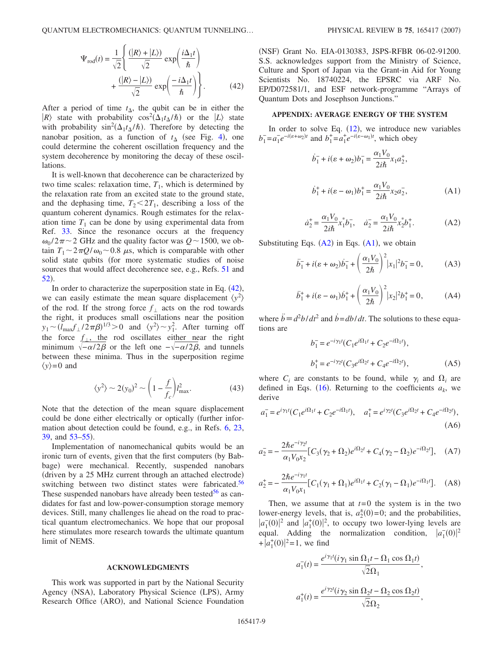$$
\Psi_{\text{rod}}(t) = \frac{1}{\sqrt{2}} \left\{ \frac{(|R\rangle + |L\rangle)}{\sqrt{2}} \exp\left(\frac{i\Delta_1 t}{\hbar}\right) + \frac{(|R\rangle - |L\rangle)}{\sqrt{2}} \exp\left(\frac{-i\Delta_1 t}{\hbar}\right) \right\}.
$$
\n(42)

After a period of time  $t_{\Delta}$ , the qubit can be in either the  $|R\rangle$  state with probability  $\cos^2(\Delta_1 t_\Delta/\hbar)$  or the  $|L\rangle$  state with probability  $\sin^2(\Delta_1 t_\Delta/\hbar)$ . Therefore by detecting the nanobar position, as a function of  $t_{\Delta}$  (see Fig. [4](#page-6-2)), one could determine the coherent oscillation frequency and the system decoherence by monitoring the decay of these oscillations.

It is well-known that decoherence can be characterized by two time scales: relaxation time,  $T_1$ , which is determined by the relaxation rate from an excited state to the ground state, and the dephasing time,  $T_2 < 2T_1$ , describing a loss of the quantum coherent dynamics. Rough estimates for the relaxation time  $T_1$  can be done by using experimental data from Ref. [33.](#page-9-16) Since the resonance occurs at the frequency  $\omega_0 / 2\pi \sim 2$  GHz and the quality factor was  $Q \sim 1500$ , we obtain  $T_1 \sim 2\pi Q/\omega_0 \sim 0.8$   $\mu$ s, which is comparable with other solid state qubits (for more systematic studies of noise sources that would affect decoherence see, e.g., Refs. [51](#page-10-6) and [52](#page-10-7)).

In order to characterize the superposition state in Eq.  $(42)$  $(42)$  $(42)$ , we can easily estimate the mean square displacement  $\langle y^2 \rangle$ of the rod. If the strong force  $f_{\perp}$  acts on the rod towards the right, it produces small oscillations near the position  $y_1 \sim (l_{\text{max}}f_\perp/2\pi\beta)^{1/3} > 0$  and  $\langle y^2 \rangle \sim y_1^2$ . After turning off the force  $f_{\perp}$ , the rod oscillates either near the right minimum  $\sqrt{-\alpha/2\beta}$  or the left one  $-\sqrt{-\alpha/2\beta}$ , and tunnels between these minima. Thus in the superposition regime  $\langle y \rangle = 0$  and

$$
\langle y^2 \rangle \sim 2(y_0)^2 \sim \left(1 - \frac{f}{f_c}\right) l_{\text{max}}^2. \tag{43}
$$

Note that the detection of the mean square displacement could be done either electrically or optically further information about detection could be found, e.g., in Refs. [6,](#page-9-4) [23,](#page-9-34) [39,](#page-9-27) and  $53-55$  $53-55$ ).

Implementation of nanomechanical qubits would be an ironic turn of events, given that the first computers (by Babbage) were mechanical. Recently, suspended nanobars (driven by a 25 MHz current through an attached electrode) switching between two distinct states were fabricated.<sup>56</sup> These suspended nanobars have already been tested $56$  as candidates for fast and low-power-consumption storage memory devices. Still, many challenges lie ahead on the road to practical quantum electromechanics. We hope that our proposal here stimulates more research towards the ultimate quantum limit of NEMS.

### **ACKNOWLEDGMENTS**

This work was supported in part by the National Security Agency (NSA), Laboratory Physical Science (LPS), Army Research Office (ARO), and National Science Foundation

(NSF) Grant No. EIA-0130383, JSPS-RFBR 06-02-91200. S.S. acknowledges support from the Ministry of Science, Culture and Sport of Japan via the Grant-in Aid for Young Scientists No. 18740224, the EPSRC via ARF No. EP/D072581/1, and ESF network-programme "Arrays of Quantum Dots and Josephson Junctions."

### **APPENDIX: AVERAGE ENERGY OF THE SYSTEM**

<span id="page-8-1"></span>In order to solve Eq.  $(12)$  $(12)$  $(12)$ , we introduce new variables  $b_1^- = a_1^- e^{-i(s+\omega_2)t}$  and  $b_1^+ = a_1^+ e^{-i(s-\omega_1)t}$ , which obey

$$
\dot{b}_1^- + i(\varepsilon + \omega_2)b_1^- = \frac{\alpha_1 V_0}{2i\hbar} x_1 a_2^+,
$$
  

$$
\dot{b}_1^+ + i(\varepsilon - \omega_1)b_1^+ = \frac{\alpha_1 V_0}{2i\hbar} x_2 a_2^-,
$$
 (A1)

$$
\dot{a}_2^+ = \frac{\alpha_1 V_0}{2i\hbar} x_1^* b_1^-, \quad \dot{a}_2^- = \frac{\alpha_1 V_0}{2i\hbar} x_2^* b_1^+.
$$
 (A2)

<span id="page-8-0"></span>Substituting Eqs.  $(A2)$  $(A2)$  $(A2)$  in Eqs.  $(A1)$  $(A1)$  $(A1)$ , we obtain

$$
\ddot{b}_1^- + i(\varepsilon + \omega_2)\dot{b}_1^- + \left(\frac{\alpha_1 V_0}{2\hbar}\right)^2 |x_1|^2 b_1^- = 0, \tag{A3}
$$

$$
\ddot{b}_{1}^{+} + i(\varepsilon - \omega_{1})\dot{b}_{1}^{+} + \left(\frac{\alpha_{1}V_{0}}{2\hbar}\right)^{2}|x_{2}|^{2}b_{1}^{+} = 0, \tag{A4}
$$

where  $\ddot{b} = d^2b/dt^2$  and  $\dot{b} = db/dt$ . The solutions to these equations are

$$
b_1^- = e^{-i\gamma_1 t} (C_1 e^{i\Omega_1 t} + C_2 e^{-i\Omega_1 t}),
$$
  
\n
$$
b_1^+ = e^{-i\gamma_2 t} (C_3 e^{i\Omega_2 t} + C_4 e^{-i\Omega_2 t}),
$$
\n(A5)

where  $C_i$  are constants to be found, while  $\gamma_i$  and  $\Omega_i$  are defined in Eqs.  $(16)$  $(16)$  $(16)$ . Returning to the coefficients  $a_k$ , we derive

$$
a_1^- = e^{i\gamma_1 t} (C_1 e^{i\Omega_1 t} + C_2 e^{-i\Omega_1 t}), \quad a_1^+ = e^{i\gamma_2 t} (C_3 e^{i\Omega_2 t} + C_4 e^{-i\Omega_2 t}),
$$
\n(A6)

$$
a_2^- = -\frac{2\hbar e^{-i\gamma_2 t}}{\alpha_1 V_0 x_2} [C_3(\gamma_2 + \Omega_2) e^{i\Omega_2 t} + C_4(\gamma_2 - \Omega_2) e^{-i\Omega_2 t}], \quad (A7)
$$

$$
a_2^+ = -\frac{2\hbar e^{-i\gamma_1 t}}{\alpha_1 V_0 x_1} \left[ C_1(\gamma_1 + \Omega_1) e^{i\Omega_1 t} + C_2(\gamma_1 - \Omega_1) e^{-i\Omega_1 t} \right]. \tag{A8}
$$

Then, we assume that at  $t=0$  the system is in the two lower-energy levels, that is,  $a_2^{\pm}(0)=0$ ; and the probabilities,  $|a_1(0)|^2$  and  $|a_1^+(0)|^2$ , to occupy two lower-lying levels are equal. Adding the normalization condition,  $|a_1(0)|^2$  $+|a_1^*(0)|^2=1$ , we find

$$
a_1^-(t) = \frac{e^{i\gamma_1 t}(i\gamma_1 \sin \Omega_1 t - \Omega_1 \cos \Omega_1 t)}{\sqrt{2}\Omega_1},
$$
  

$$
a_1^+(t) = \frac{e^{i\gamma_2 t}(i\gamma_2 \sin \Omega_2 t - \Omega_2 \cos \Omega_2 t)}{\sqrt{2}\Omega_2},
$$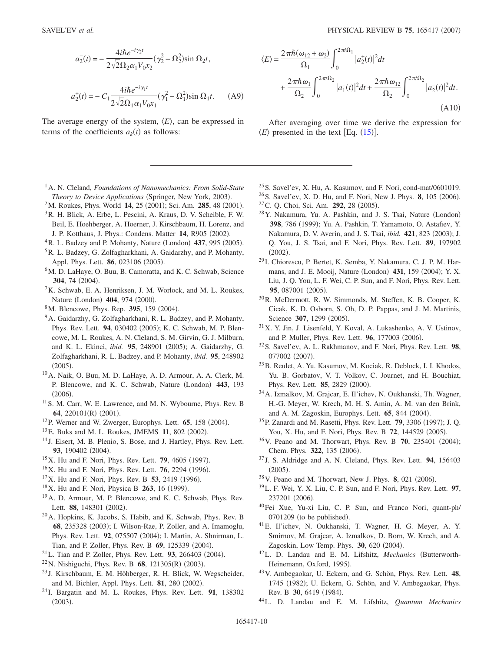$$
a_2^-(t) = -\frac{4i\hbar e^{-i\gamma_2 t}}{2\sqrt{2}\Omega_2 \alpha_1 V_0 x_2} (\gamma_2^2 - \Omega_2^2) \sin \Omega_2 t,
$$

$$
a_2^+(t) = -C_1 \frac{4i\hbar e^{-i\gamma_1 t}}{2\sqrt{2}\Omega_1 \alpha_1 V_0 x_1} (\gamma_1^2 - \Omega_1^2) \sin \Omega_1 t.
$$
 (A9)

The average energy of the system,  $\langle E \rangle$ , can be expressed in terms of the coefficients  $a_k(t)$  as follows:

$$
\langle \Xi \rangle = \frac{2\pi \hbar \omega_1}{\Omega_1} \int_0^{2\pi/\Omega_2} |a_2^-(t)|^2 dt + \frac{2\pi \hbar \omega_{12}}{\Omega_2} \int_0^{2\pi/\Omega_2} |a_2^-(t)|^2 dt.
$$
\n(A10)

After averaging over time we derive the expression for  $\langle E \rangle$  presented in the text [Eq. ([15](#page-4-2))].

- <span id="page-9-0"></span>1A. N. Cleland, *Foundations of Nanomechanics: From Solid-State* Theory to Device Applications (Springer, New York, 2003).
- <span id="page-9-1"></span><sup>2</sup>M. Roukes, Phys. World 14, 25 (2001); Sci. Am. **285**, 48 (2001).
- <span id="page-9-3"></span>3R. H. Blick, A. Erbe, L. Pescini, A. Kraus, D. V. Scheible, F. W. Beil, E. Hoehberger, A. Hoerner, J. Kirschbaum, H. Lorenz, and J. P. Kotthaus, J. Phys.: Condens. Matter 14, R905 (2002).
- <sup>4</sup> R. L. Badzey and P. Mohanty, Nature (London) 437, 995 (2005).
- <span id="page-9-2"></span>5R. L. Badzey, G. Zolfagharkhani, A. Gaidarzhy, and P. Mohanty, Appl. Phys. Lett. **86**, 023106 (2005).
- <span id="page-9-4"></span><sup>6</sup>M. D. LaHaye, O. Buu, B. Camoratta, and K. C. Schwab, Science 304, 74 (2004).
- 7K. Schwab, E. A. Henriksen, J. M. Worlock, and M. L. Roukes, Nature (London) 404, 974 (2000).
- <span id="page-9-7"></span><sup>8</sup>M. Blencowe, Phys. Rep. 395, 159 (2004).
- <span id="page-9-6"></span><sup>9</sup>A. Gaidarzhy, G. Zolfagharkhani, R. L. Badzey, and P. Mohanty, Phys. Rev. Lett. 94, 030402 (2005); K. C. Schwab, M. P. Blencowe, M. L. Roukes, A. N. Cleland, S. M. Girvin, G. J. Milburn, and K. L. Ekinci, *ibid.* 95, 248901 (2005); A. Gaidarzhy, G. Zolfagharkhani, R. L. Badzey, and P. Mohanty, *ibid.* **95**, 248902  $(2005).$
- <span id="page-9-5"></span>10A. Naik, O. Buu, M. D. LaHaye, A. D. Armour, A. A. Clerk, M. P. Blencowe, and K. C. Schwab, Nature (London) 443, 193  $(2006).$
- <span id="page-9-8"></span>11S. M. Carr, W. E. Lawrence, and M. N. Wybourne, Phys. Rev. B 64, 220101(R) (2001).
- <span id="page-9-9"></span><sup>12</sup>P. Werner and W. Zwerger, Europhys. Lett. **65**, 158 (2004).
- <span id="page-9-10"></span><sup>13</sup> E. Buks and M. L. Roukes, JMEMS 11, 802 (2002).
- <span id="page-9-11"></span><sup>14</sup> J. Eisert, M. B. Plenio, S. Bose, and J. Hartley, Phys. Rev. Lett. 93, 190402 (2004).
- <span id="page-9-12"></span><sup>15</sup>X. Hu and F. Nori, Phys. Rev. Lett. **79**, 4605 (1997).
- <sup>16</sup>X. Hu and F. Nori, Phys. Rev. Lett. **76**, 2294 (1996).
- $17X$ . Hu and F. Nori, Phys. Rev. B 53, 2419 (1996).
- <span id="page-9-13"></span><sup>18</sup>X. Hu and F. Nori, Physica B **263**, 16 (1999).
- <span id="page-9-14"></span>19A. D. Armour, M. P. Blencowe, and K. C. Schwab, Phys. Rev. Lett. 88, 148301 (2002).
- 20A. Hopkins, K. Jacobs, S. Habib, and K. Schwab, Phys. Rev. B 68, 235328 (2003); I. Wilson-Rae, P. Zoller, and A. Imamoglu, Phys. Rev. Lett. 92, 075507 (2004); I. Martin, A. Shnirman, L. Tian, and P. Zoller, Phys. Rev. B 69, 125339 (2004).
- $^{21}$ L. Tian and P. Zoller, Phys. Rev. Lett. **93**, 266403 (2004).
- <sup>22</sup> N. Nishiguchi, Phys. Rev. B **68**, 121305(R) (2003).
- <span id="page-9-34"></span><sup>23</sup> J. Kirschbaum, E. M. Höhberger, R. H. Blick, W. Wegscheider, and M. Bichler, Appl. Phys. Lett. **81**, 280 (2002).
- <span id="page-9-15"></span><sup>24</sup> I. Bargatin and M. L. Roukes, Phys. Rev. Lett. **91**, 138302  $(2003).$
- <span id="page-9-29"></span><span id="page-9-16"></span> $^{25}$ S. Savel'ev, X. Hu, A. Kasumov, and F. Nori, cond-mat/0601019. <sup>26</sup> S. Savel'ev, X. D. Hu, and F. Nori, New J. Phys. **8**, 105 (2006). <sup>27</sup> C. Q. Choi, Sci. Am. **292**, 28 (2005).
- <span id="page-9-18"></span><span id="page-9-17"></span><sup>28</sup> Y. Nakamura, Yu. A. Pashkin, and J. S. Tsai, Nature (London) 398, 786 (1999); Yu. A. Pashkin, T. Yamamoto, O. Astafiev, Y. Nakamura, D. V. Averin, and J. S. Tsai, *ibid.* 421, 823 (2003); J. Q. You, J. S. Tsai, and F. Nori, Phys. Rev. Lett. **89**, 197902  $(2002).$
- <span id="page-9-19"></span><sup>29</sup> I. Chiorescu, P. Bertet, K. Semba, Y. Nakamura, C. J. P. M. Harmans, and J. E. Mooij, Nature (London) 431, 159 (2004); Y. X. Liu, J. Q. You, L. F. Wei, C. P. Sun, and F. Nori, Phys. Rev. Lett. 95, 087001 (2005).
- <span id="page-9-20"></span>30R. McDermott, R. W. Simmonds, M. Steffen, K. B. Cooper, K. Cicak, K. D. Osborn, S. Oh, D. P. Pappas, and J. M. Martinis, Science 307, 1299 (2005).
- <span id="page-9-21"></span>31X. Y. Jin, J. Lisenfeld, Y. Koval, A. Lukashenko, A. V. Ustinov, and P. Muller, Phys. Rev. Lett. **96**, 177003 (2006).
- <span id="page-9-22"></span>32S. Savel'ev, A. L. Rakhmanov, and F. Nori, Phys. Rev. Lett. **98**, 077002 (2007).
- 33B. Reulet, A. Yu. Kasumov, M. Kociak, R. Deblock, I. I. Khodos, Yu. B. Gorbatov, V. T. Volkov, C. Journet, and H. Bouchiat, Phys. Rev. Lett. **85**, 2829 (2000).
- <span id="page-9-23"></span>34A. Izmalkov, M. Grajcar, E. Il'ichev, N. Oukhanski, Th. Wagner, H.-G. Meyer, W. Krech, M. H. S. Amin, A. M. van den Brink, and A. M. Zagoskin, Europhys. Lett. 65, 844 (2004).
- <span id="page-9-24"></span><sup>35</sup> P. Zanardi and M. Rasetti, Phys. Rev. Lett. **79**, 3306 (1997); J. Q. You, X. Hu, and F. Nori, Phys. Rev. B 72, 144529 (2005).
- <sup>36</sup> V. Peano and M. Thorwart, Phys. Rev. B **70**, 235401 (2004); Chem. Phys. 322, 135 (2006).
- <span id="page-9-25"></span><sup>37</sup> J. S. Aldridge and A. N. Cleland, Phys. Rev. Lett. **94**, 156403  $(2005).$
- <span id="page-9-26"></span><sup>38</sup> V. Peano and M. Thorwart, New J. Phys. **8**, 021 (2006).
- <span id="page-9-27"></span>39L. F. Wei, Y. X. Liu, C. P. Sun, and F. Nori, Phys. Rev. Lett. **97**, 237201 (2006).
- <span id="page-9-28"></span>40Fei Xue, Yu-xi Liu, C. P. Sun, and Franco Nori, quant-ph/  $0701209$  (to be published).
- <span id="page-9-30"></span>41E. Il'ichev, N. Oukhanski, T. Wagner, H. G. Meyer, A. Y. Smirnov, M. Grajcar, A. Izmalkov, D. Born, W. Krech, and A. Zagoskin, Low Temp. Phys. 30, 620 (2004).
- <span id="page-9-31"></span><sup>42</sup>L. D. Landau and E. M. Lifshitz, *Mechanics* (Butterworth-Heinemann, Oxford, 1995).
- <span id="page-9-32"></span>43V. Ambegaokar, U. Eckern, and G. Schön, Phys. Rev. Lett. **48**, 1745 (1982); U. Eckern, G. Schön, and V. Ambegaokar, Phys. Rev. B 30, 6419 (1984).
- <span id="page-9-33"></span>44L. D. Landau and E. M. Lifshitz, *Quantum Mechanics*